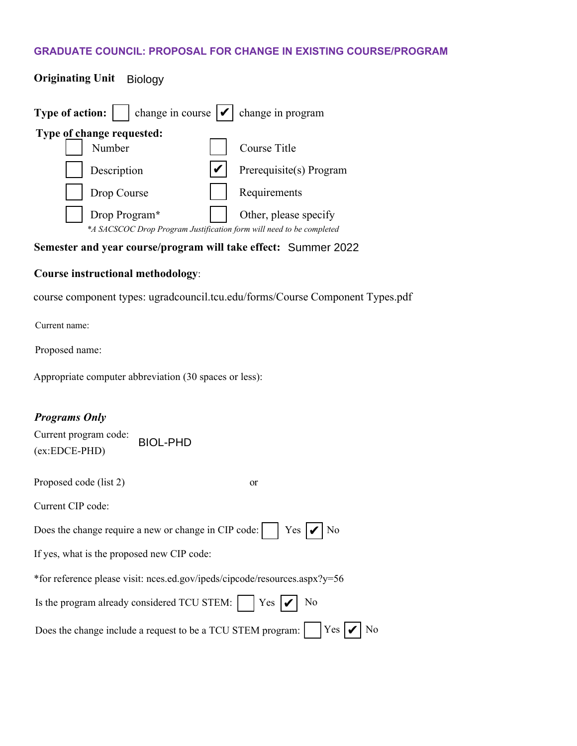## **GRADUATE COUNCIL: PROPOSAL FOR CHANGE IN EXISTING COURSE/PROGRAM**

| <b>Type of action:</b> $\vert \cdot \vert$ change in course $\vert \cdot \vert$ change in program |                         |
|---------------------------------------------------------------------------------------------------|-------------------------|
| Type of change requested:<br>Number                                                               | Course Title            |
| Description                                                                                       | Prerequisite(s) Program |
| Drop Course                                                                                       | Requirements            |
| Drop Program*<br>*A SACSCOC Drop Program Justification form will need to be completed             | Other, please specify   |

### **Semester and year course/program will take effect:** Summer 2022

#### **Course instructional methodology**:

**Originating Unit** Biology

course component types: ugradcouncil.tcu.edu/forms/Course Component Types.pdf

Current name:

Proposed name:

Appropriate computer abbreviation (30 spaces or less):

### *Programs Only*

| Current program code: | <b>BIOL-PHD</b> |
|-----------------------|-----------------|
| $(ex:EDCE-PHD)$       |                 |
|                       |                 |

Proposed code (list 2) or

Current CIP code:

Does the change require a new or change in CIP code:  $\big|$  Yes  $| \bigvee$  No

If yes, what is the proposed new CIP code:

\*for reference please visit: nces.ed.gov/ipeds/cipcode/resources.aspx?y=56

| Is the program already considered TCU STEM: $\Box$ Yes $\bigvee$ No |  |  |
|---------------------------------------------------------------------|--|--|
|                                                                     |  |  |

Does the change include a request to be a TCU STEM program:  $\big|$  Yes  $|V|$  No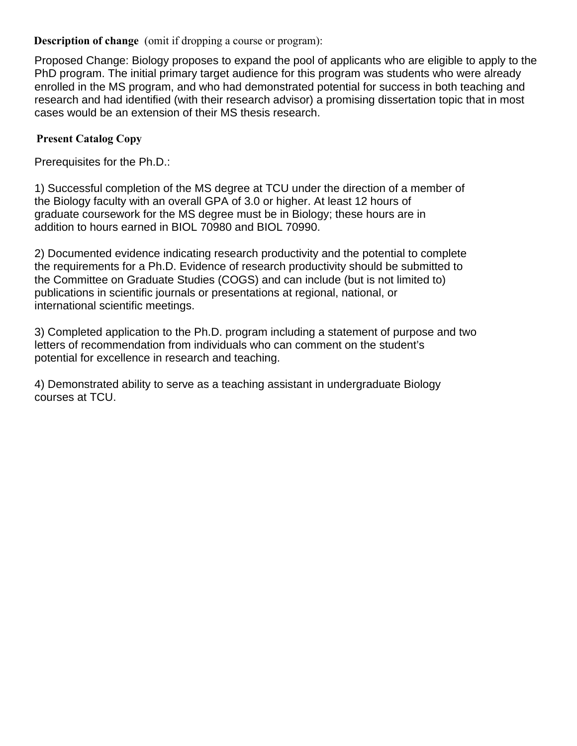**Description of change** (omit if dropping a course or program):

Proposed Change: Biology proposes to expand the pool of applicants who are eligible to apply to the PhD program. The initial primary target audience for this program was students who were already enrolled in the MS program, and who had demonstrated potential for success in both teaching and research and had identified (with their research advisor) a promising dissertation topic that in most cases would be an extension of their MS thesis research.

# **Present Catalog Copy**

Prerequisites for the Ph.D.:

1) Successful completion of the MS degree at TCU under the direction of a member of the Biology faculty with an overall GPA of 3.0 or higher. At least 12 hours of graduate coursework for the MS degree must be in Biology; these hours are in addition to hours earned in BIOL 70980 and BIOL 70990.

2) Documented evidence indicating research productivity and the potential to complete the requirements for a Ph.D. Evidence of research productivity should be submitted to the Committee on Graduate Studies (COGS) and can include (but is not limited to) publications in scientific journals or presentations at regional, national, or international scientific meetings.

3) Completed application to the Ph.D. program including a statement of purpose and two letters of recommendation from individuals who can comment on the student's potential for excellence in research and teaching.

4) Demonstrated ability to serve as a teaching assistant in undergraduate Biology courses at TCU.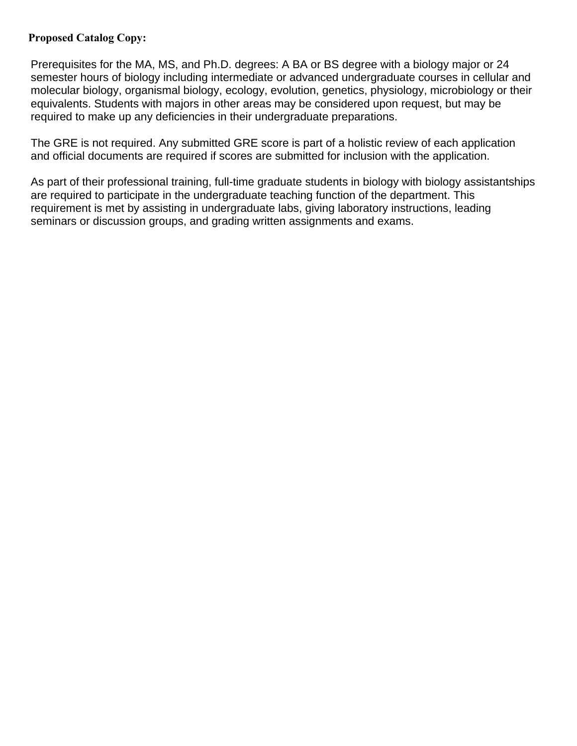## **Proposed Catalog Copy:**

Prerequisites for the MA, MS, and Ph.D. degrees: A BA or BS degree with a biology major or 24 semester hours of biology including intermediate or advanced undergraduate courses in cellular and molecular biology, organismal biology, ecology, evolution, genetics, physiology, microbiology or their equivalents. Students with majors in other areas may be considered upon request, but may be required to make up any deficiencies in their undergraduate preparations.

The GRE is not required. Any submitted GRE score is part of a holistic review of each application and official documents are required if scores are submitted for inclusion with the application.

As part of their professional training, full-time graduate students in biology with biology assistantships are required to participate in the undergraduate teaching function of the department. This requirement is met by assisting in undergraduate labs, giving laboratory instructions, leading seminars or discussion groups, and grading written assignments and exams.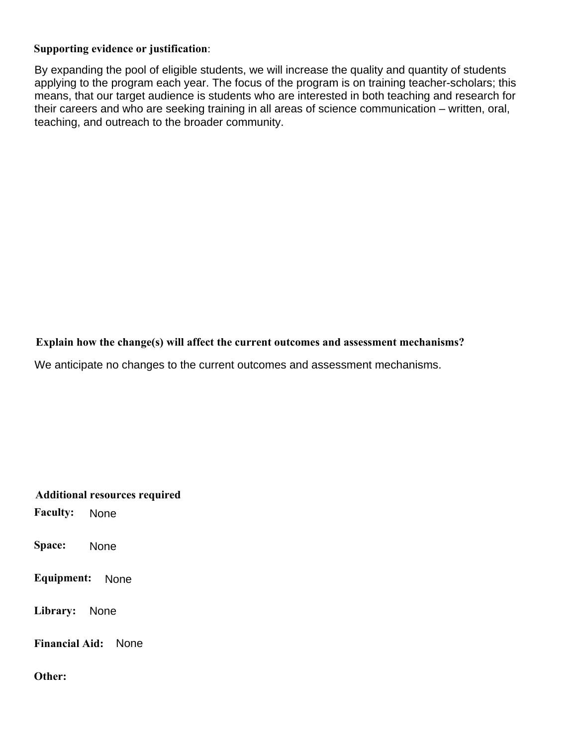## **Supporting evidence or justification**:

By expanding the pool of eligible students, we will increase the quality and quantity of students applying to the program each year. The focus of the program is on training teacher-scholars; this means, that our target audience is students who are interested in both teaching and research for their careers and who are seeking training in all areas of science communication – written, oral, teaching, and outreach to the broader community.

**Explain how the change(s) will affect the current outcomes and assessment mechanisms?** 

We anticipate no changes to the current outcomes and assessment mechanisms.

**Additional resources required Faculty: Space: Equipment:**  Library: None Library: None<br>Financial Aid: None **Other:**  None None<br>None: